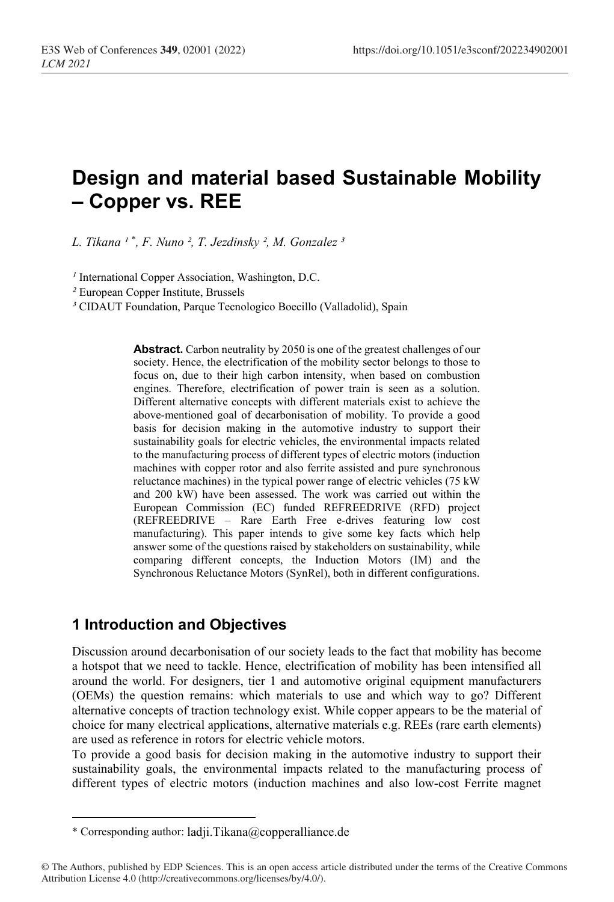# **Design and material based Sustainable Mobility – Copper vs. REE**

*L. Tikana ¹* [\\*](#page-0-0) *, F. Nuno ², T. Jezdinsky ², M. Gonzalez ³*

<sup>*I*</sup> International Copper Association, Washington, D.C.

*²* European Copper Institute, Brussels

*³* CIDAUT Foundation, Parque Tecnologico Boecillo (Valladolid), Spain

**Abstract.** Carbon neutrality by 2050 is one of the greatest challenges of our society. Hence, the electrification of the mobility sector belongs to those to focus on, due to their high carbon intensity, when based on combustion engines. Therefore, electrification of power train is seen as a solution. Different alternative concepts with different materials exist to achieve the above-mentioned goal of decarbonisation of mobility. To provide a good basis for decision making in the automotive industry to support their sustainability goals for electric vehicles, the environmental impacts related to the manufacturing process of different types of electric motors (induction machines with copper rotor and also ferrite assisted and pure synchronous reluctance machines) in the typical power range of electric vehicles (75 kW and 200 kW) have been assessed. The work was carried out within the European Commission (EC) funded REFREEDRIVE (RFD) project (REFREEDRIVE – Rare Earth Free e-drives featuring low cost manufacturing). This paper intends to give some key facts which help answer some of the questions raised by stakeholders on sustainability, while comparing different concepts, the Induction Motors (IM) and the Synchronous Reluctance Motors (SynRel), both in different configurations.

### **1 Introduction and Objectives**

Discussion around decarbonisation of our society leads to the fact that mobility has become a hotspot that we need to tackle. Hence, electrification of mobility has been intensified all around the world. For designers, tier 1 and automotive original equipment manufacturers (OEMs) the question remains: which materials to use and which way to go? Different alternative concepts of traction technology exist. While copper appears to be the material of choice for many electrical applications, alternative materials e.g. REEs (rare earth elements) are used as reference in rotors for electric vehicle motors.

To provide a good basis for decision making in the automotive industry to support their sustainability goals, the environmental impacts related to the manufacturing process of different types of electric motors (induction machines and also low-cost Ferrite magnet

<sup>\*</sup> Corresponding author: ladji.Tikana@copperalliance.de

<span id="page-0-0"></span><sup>©</sup> The Authors, published by EDP Sciences. This is an open access article distributed under the terms of the Creative Commons Attribution License 4.0 (http://creativecommons.org/licenses/by/4.0/).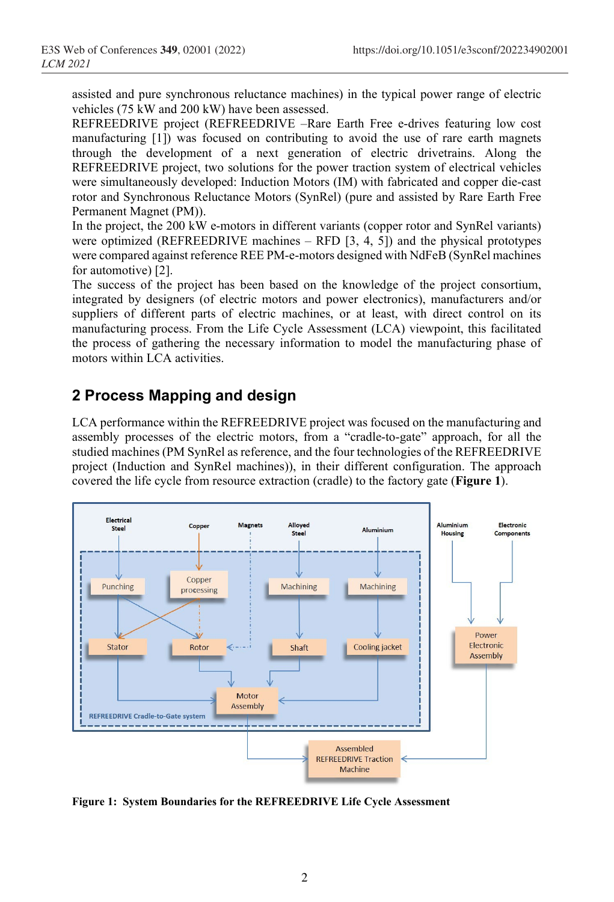assisted and pure synchronous reluctance machines) in the typical power range of electric vehicles (75 kW and 200 kW) have been assessed.

REFREEDRIVE project (REFREEDRIVE –Rare Earth Free e-drives featuring low cost manufacturing [\[1\]](#page-6-0)) was focused on contributing to avoid the use of rare earth magnets through the development of a next generation of electric drivetrains. Along the REFREEDRIVE project, two solutions for the power traction system of electrical vehicles were simultaneously developed: Induction Motors (IM) with fabricated and copper die-cast rotor and Synchronous Reluctance Motors (SynRel) (pure and assisted by Rare Earth Free Permanent Magnet (PM)).

In the project, the 200 kW e-motors in different variants (copper rotor and SynRel variants) were optimized (REFREEDRIVE machines  $-$  RFD [3, 4, 5]) and the physical prototypes were compared against reference REE PM-e-motors designed with NdFeB (SynRel machines for automotive) [\[2\]](#page-6-1).

The success of the project has been based on the knowledge of the project consortium, integrated by designers (of electric motors and power electronics), manufacturers and/or suppliers of different parts of electric machines, or at least, with direct control on its manufacturing process. From the Life Cycle Assessment (LCA) viewpoint, this facilitated the process of gathering the necessary information to model the manufacturing phase of motors within LCA activities.

## **2 Process Mapping and design**

LCA performance within the REFREEDRIVE project was focused on the manufacturing and assembly processes of the electric motors, from a "cradle-to-gate" approach, for all the studied machines (PM SynRel as reference, and the four technologies of the REFREEDRIVE project (Induction and SynRel machines)), in their different configuration. The approach covered the life cycle from resource extraction (cradle) to the factory gate (**Figure 1**).



**Figure 1: System Boundaries for the REFREEDRIVE Life Cycle Assessment**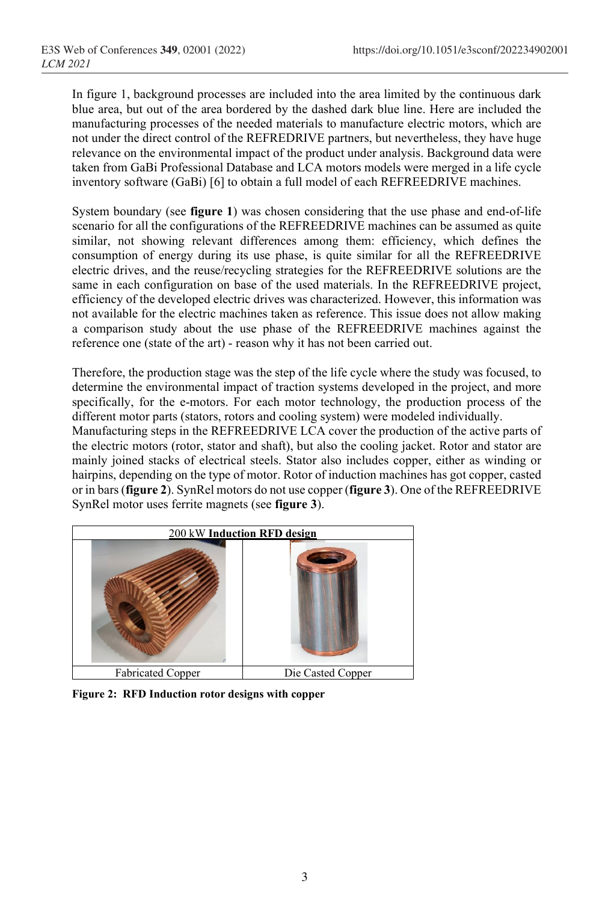In figure 1, background processes are included into the area limited by the continuous dark blue area, but out of the area bordered by the dashed dark blue line. Here are included the manufacturing processes of the needed materials to manufacture electric motors, which are not under the direct control of the REFREDRIVE partners, but nevertheless, they have huge relevance on the environmental impact of the product under analysis. Background data were taken from GaBi Professional Database and LCA motors models were merged in a life cycle inventory software (GaBi) [6] to obtain a full model of each REFREEDRIVE machines.

System boundary (see **figure 1**) was chosen considering that the use phase and end-of-life scenario for all the configurations of the REFREEDRIVE machines can be assumed as quite similar, not showing relevant differences among them: efficiency, which defines the consumption of energy during its use phase, is quite similar for all the REFREEDRIVE electric drives, and the reuse/recycling strategies for the REFREEDRIVE solutions are the same in each configuration on base of the used materials. In the REFREEDRIVE project, efficiency of the developed electric drives was characterized. However, this information was not available for the electric machines taken as reference. This issue does not allow making a comparison study about the use phase of the REFREEDRIVE machines against the reference one (state of the art) - reason why it has not been carried out.

Therefore, the production stage was the step of the life cycle where the study was focused, to determine the environmental impact of traction systems developed in the project, and more specifically, for the e-motors. For each motor technology, the production process of the different motor parts (stators, rotors and cooling system) were modeled individually.

Manufacturing steps in the REFREEDRIVE LCA cover the production of the active parts of the electric motors (rotor, stator and shaft), but also the cooling jacket. Rotor and stator are mainly joined stacks of electrical steels. Stator also includes copper, either as winding or hairpins, depending on the type of motor. Rotor of induction machines has got copper, casted or in bars(**figure 2**). SynRel motors do not use copper (**figure 3**). One of the REFREEDRIVE SynRel motor uses ferrite magnets (see **figure 3**).



**Figure 2: RFD Induction rotor designs with copper**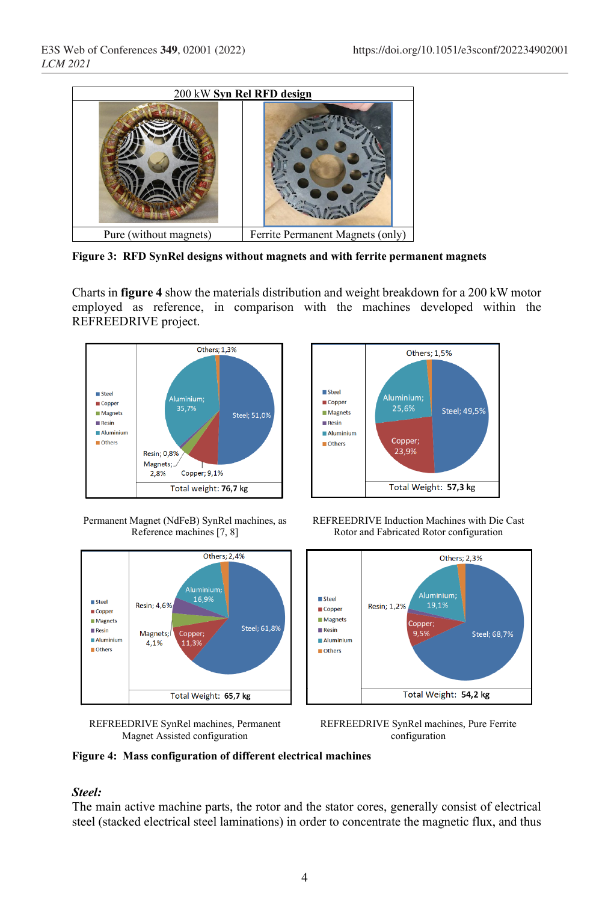

**Figure 3: RFD SynRel designs without magnets and with ferrite permanent magnets**

Charts in **figure 4** show the materials distribution and weight breakdown for a 200 kW motor employed as reference, in comparison with the machines developed within the REFREEDRIVE project.



Permanent Magnet (NdFeB) SynRel machines, as Reference machines [7, 8]



REFREEDRIVE SynRel machines, Permanent Magnet Assisted configuration







REFREEDRIVE SynRel machines, Pure Ferrite configuration

#### **Figure 4: Mass configuration of different electrical machines**

#### *Steel:*

The main active machine parts, the rotor and the stator cores, generally consist of electrical steel (stacked electrical steel laminations) in order to concentrate the magnetic flux, and thus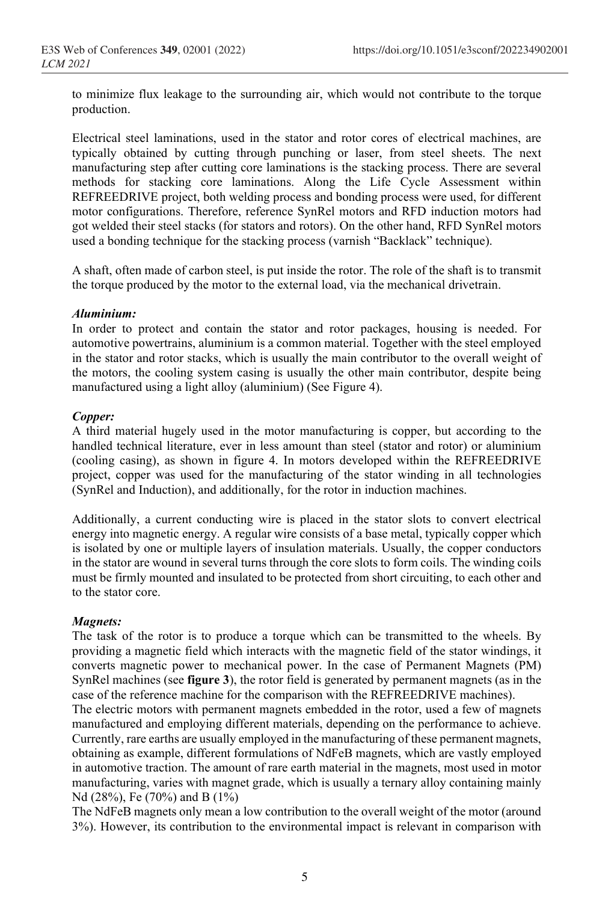to minimize flux leakage to the surrounding air, which would not contribute to the torque production.

Electrical steel laminations, used in the stator and rotor cores of electrical machines, are typically obtained by cutting through punching or laser, from steel sheets. The next manufacturing step after cutting core laminations is the stacking process. There are several methods for stacking core laminations. Along the Life Cycle Assessment within REFREEDRIVE project, both welding process and bonding process were used, for different motor configurations. Therefore, reference SynRel motors and RFD induction motors had got welded their steel stacks (for stators and rotors). On the other hand, RFD SynRel motors used a bonding technique for the stacking process (varnish "Backlack" technique).

A shaft, often made of carbon steel, is put inside the rotor. The role of the shaft is to transmit the torque produced by the motor to the external load, via the mechanical drivetrain.

#### *Aluminium:*

In order to protect and contain the stator and rotor packages, housing is needed. For automotive powertrains, aluminium is a common material. Together with the steel employed in the stator and rotor stacks, which is usually the main contributor to the overall weight of the motors, the cooling system casing is usually the other main contributor, despite being manufactured using a light alloy (aluminium) (See Figure 4).

#### *Copper:*

A third material hugely used in the motor manufacturing is copper, but according to the handled technical literature, ever in less amount than steel (stator and rotor) or aluminium (cooling casing), as shown in figure 4. In motors developed within the REFREEDRIVE project, copper was used for the manufacturing of the stator winding in all technologies (SynRel and Induction), and additionally, for the rotor in induction machines.

Additionally, a current conducting wire is placed in the stator slots to convert electrical energy into magnetic energy. A regular wire consists of a base metal, typically copper which is isolated by one or multiple layers of insulation materials. Usually, the copper conductors in the stator are wound in several turns through the core slots to form coils. The winding coils must be firmly mounted and insulated to be protected from short circuiting, to each other and to the stator core.

#### *Magnets:*

The task of the rotor is to produce a torque which can be transmitted to the wheels. By providing a magnetic field which interacts with the magnetic field of the stator windings, it converts magnetic power to mechanical power. In the case of Permanent Magnets (PM) SynRel machines (see **figure 3**), the rotor field is generated by permanent magnets (as in the case of the reference machine for the comparison with the REFREEDRIVE machines).

The electric motors with permanent magnets embedded in the rotor, used a few of magnets manufactured and employing different materials, depending on the performance to achieve. Currently, rare earths are usually employed in the manufacturing of these permanent magnets, obtaining as example, different formulations of NdFeB magnets, which are vastly employed in automotive traction. The amount of rare earth material in the magnets, most used in motor manufacturing, varies with magnet grade, which is usually a ternary alloy containing mainly Nd (28%), Fe (70%) and B (1%)

The NdFeB magnets only mean a low contribution to the overall weight of the motor (around 3%). However, its contribution to the environmental impact is relevant in comparison with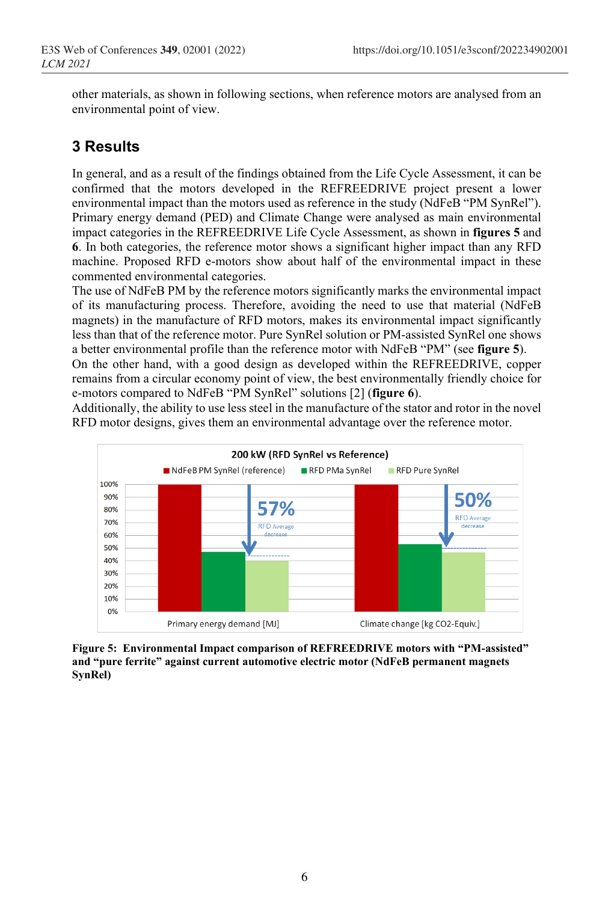other materials, as shown in following sections, when reference motors are analysed from an environmental point of view.

### **3 Results**

In general, and as a result of the findings obtained from the Life Cycle Assessment, it can be confirmed that the motors developed in the REFREEDRIVE project present a lower environmental impact than the motors used as reference in the study (NdFeB "PM SynRel"). Primary energy demand (PED) and Climate Change were analysed as main environmental impact categories in the REFREEDRIVE Life Cycle Assessment, as shown in **figures 5** and **6**. In both categories, the reference motor shows a significant higher impact than any RFD machine. Proposed RFD e-motors show about half of the environmental impact in these commented environmental categories.

The use of NdFeB PM by the reference motors significantly marks the environmental impact of its manufacturing process. Therefore, avoiding the need to use that material (NdFeB magnets) in the manufacture of RFD motors, makes its environmental impact significantly less than that of the reference motor. Pure SynRel solution or PM-assisted SynRel one shows a better environmental profile than the reference motor with NdFeB "PM" (see **figure 5**).

On the other hand, with a good design as developed within the REFREEDRIVE, copper remains from a circular economy point of view, the best environmentally friendly choice for e-motors compared to NdFeB "PM SynRel" solutions [\[2\]](#page-6-1) (**figure 6**).

Additionally, the ability to use less steel in the manufacture of the stator and rotor in the novel RFD motor designs, gives them an environmental advantage over the reference motor.



**Figure 5: Environmental Impact comparison of REFREEDRIVE motors with "PM-assisted" and "pure ferrite" against current automotive electric motor (NdFeB permanent magnets SynRel)**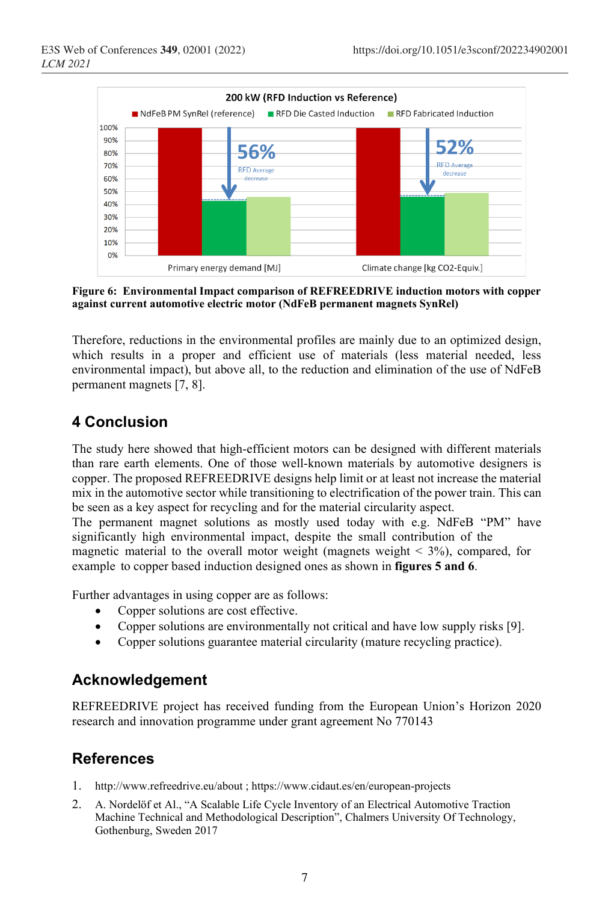

**Figure 6: Environmental Impact comparison of REFREEDRIVE induction motors with copper against current automotive electric motor (NdFeB permanent magnets SynRel)**

Therefore, reductions in the environmental profiles are mainly due to an optimized design, which results in a proper and efficient use of materials (less material needed, less environmental impact), but above all, to the reduction and elimination of the use of NdFeB permanent magnets [7, 8].

### **4 Conclusion**

The study here showed that high-efficient motors can be designed with different materials than rare earth elements. One of those well-known materials by automotive designers is copper. The proposed REFREEDRIVE designs help limit or at least not increase the material mix in the automotive sector while transitioning to electrification of the power train. This can be seen as a key aspect for recycling and for the material circularity aspect.

The permanent magnet solutions as mostly used today with e.g. NdFeB "PM" have significantly high environmental impact, despite the small contribution of the magnetic material to the overall motor weight (magnets weight  $\lt$  3%), compared, for example to copper based induction designed ones as shown in **figures 5 and 6**.

Further advantages in using copper are as follows:

- Copper solutions are cost effective.
- Copper solutions are environmentally not critical and have low supply risks [9].
- Copper solutions guarantee material circularity (mature recycling practice).

## **Acknowledgement**

REFREEDRIVE project has received funding from the European Union's Horizon 2020 research and innovation programme under grant agreement No 770143

### **References**

- <span id="page-6-0"></span>1. http://www.refreedrive.eu/about ; https://www.cidaut.es/en/european-projects
- <span id="page-6-1"></span>2. A. Nordelöf et Al., "A Scalable Life Cycle Inventory of an Electrical Automotive Traction Machine Technical and Methodological Description", Chalmers University Of Technology, Gothenburg, Sweden 2017